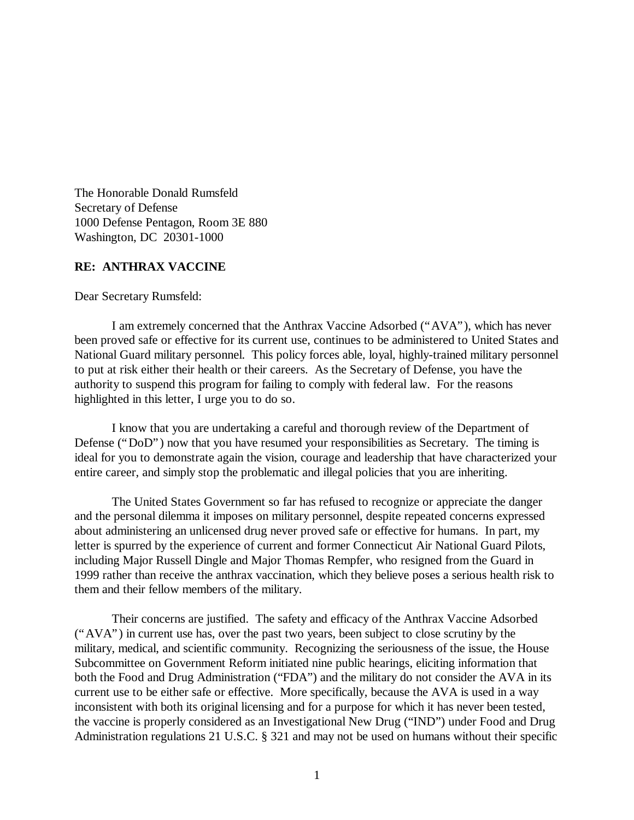The Honorable Donald Rumsfeld Secretary of Defense 1000 Defense Pentagon, Room 3E 880 Washington, DC 20301-1000

# **RE: ANTHRAX VACCINE**

Dear Secretary Rumsfeld:

I am extremely concerned that the Anthrax Vaccine Adsorbed ("AVA"), which has never been proved safe or effective for its current use, continues to be administered to United States and National Guard military personnel. This policy forces able, loyal, highly-trained military personnel to put at risk either their health or their careers. As the Secretary of Defense, you have the authority to suspend this program for failing to comply with federal law. For the reasons highlighted in this letter, I urge you to do so.

I know that you are undertaking a careful and thorough review of the Department of Defense ("DoD") now that you have resumed your responsibilities as Secretary. The timing is ideal for you to demonstrate again the vision, courage and leadership that have characterized your entire career, and simply stop the problematic and illegal policies that you are inheriting.

The United States Government so far has refused to recognize or appreciate the danger and the personal dilemma it imposes on military personnel, despite repeated concerns expressed about administering an unlicensed drug never proved safe or effective for humans. In part, my letter is spurred by the experience of current and former Connecticut Air National Guard Pilots, including Major Russell Dingle and Major Thomas Rempfer, who resigned from the Guard in 1999 rather than receive the anthrax vaccination, which they believe poses a serious health risk to them and their fellow members of the military.

Their concerns are justified. The safety and efficacy of the Anthrax Vaccine Adsorbed ("AVA") in current use has, over the past two years, been subject to close scrutiny by the military, medical, and scientific community. Recognizing the seriousness of the issue, the House Subcommittee on Government Reform initiated nine public hearings, eliciting information that both the Food and Drug Administration ("FDA") and the military do not consider the AVA in its current use to be either safe or effective. More specifically, because the AVA is used in a way inconsistent with both its original licensing and for a purpose for which it has never been tested, the vaccine is properly considered as an Investigational New Drug ("IND") under Food and Drug Administration regulations 21 U.S.C. § 321 and may not be used on humans without their specific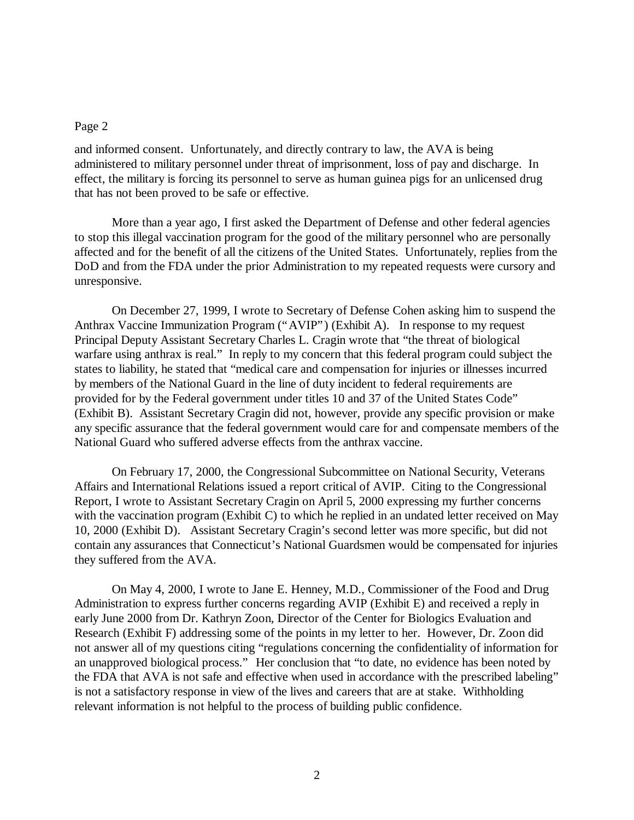and informed consent. Unfortunately, and directly contrary to law, the AVA is being administered to military personnel under threat of imprisonment, loss of pay and discharge. In effect, the military is forcing its personnel to serve as human guinea pigs for an unlicensed drug that has not been proved to be safe or effective.

More than a year ago, I first asked the Department of Defense and other federal agencies to stop this illegal vaccination program for the good of the military personnel who are personally affected and for the benefit of all the citizens of the United States. Unfortunately, replies from the DoD and from the FDA under the prior Administration to my repeated requests were cursory and unresponsive.

On December 27, 1999, I wrote to Secretary of Defense Cohen asking him to suspend the Anthrax Vaccine Immunization Program ("AVIP") (Exhibit A). In response to my request Principal Deputy Assistant Secretary Charles L. Cragin wrote that "the threat of biological warfare using anthrax is real." In reply to my concern that this federal program could subject the states to liability, he stated that "medical care and compensation for injuries or illnesses incurred by members of the National Guard in the line of duty incident to federal requirements are provided for by the Federal government under titles 10 and 37 of the United States Code" (Exhibit B). Assistant Secretary Cragin did not, however, provide any specific provision or make any specific assurance that the federal government would care for and compensate members of the National Guard who suffered adverse effects from the anthrax vaccine.

On February 17, 2000, the Congressional Subcommittee on National Security, Veterans Affairs and International Relations issued a report critical of AVIP. Citing to the Congressional Report, I wrote to Assistant Secretary Cragin on April 5, 2000 expressing my further concerns with the vaccination program (Exhibit C) to which he replied in an undated letter received on May 10, 2000 (Exhibit D). Assistant Secretary Cragin's second letter was more specific, but did not contain any assurances that Connecticut's National Guardsmen would be compensated for injuries they suffered from the AVA.

On May 4, 2000, I wrote to Jane E. Henney, M.D., Commissioner of the Food and Drug Administration to express further concerns regarding AVIP (Exhibit E) and received a reply in early June 2000 from Dr. Kathryn Zoon, Director of the Center for Biologics Evaluation and Research (Exhibit F) addressing some of the points in my letter to her. However, Dr. Zoon did not answer all of my questions citing "regulations concerning the confidentiality of information for an unapproved biological process." Her conclusion that "to date, no evidence has been noted by the FDA that AVA is not safe and effective when used in accordance with the prescribed labeling" is not a satisfactory response in view of the lives and careers that are at stake. Withholding relevant information is not helpful to the process of building public confidence.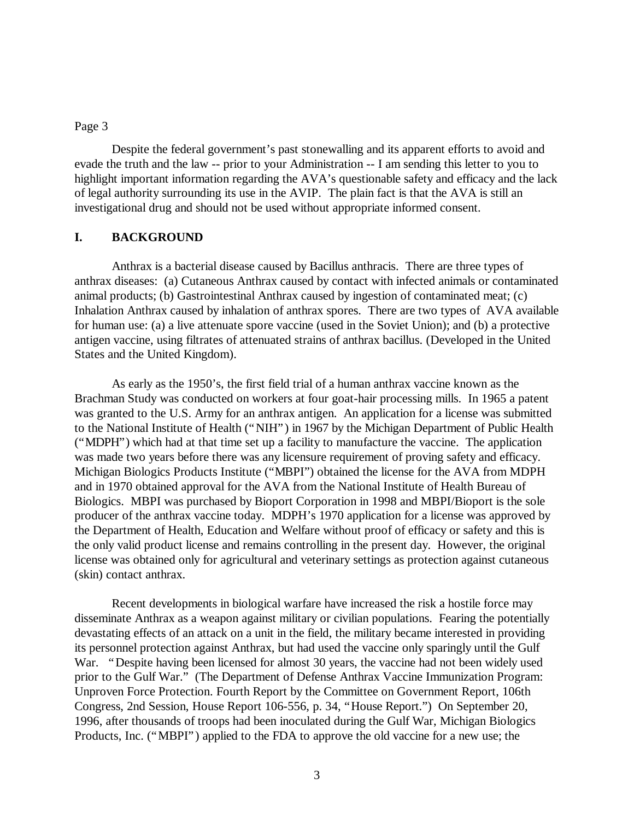Despite the federal government's past stonewalling and its apparent efforts to avoid and evade the truth and the law -- prior to your Administration -- I am sending this letter to you to highlight important information regarding the AVA's questionable safety and efficacy and the lack of legal authority surrounding its use in the AVIP. The plain fact is that the AVA is still an investigational drug and should not be used without appropriate informed consent.

## **I. BACKGROUND**

Anthrax is a bacterial disease caused by Bacillus anthracis. There are three types of anthrax diseases: (a) Cutaneous Anthrax caused by contact with infected animals or contaminated animal products; (b) Gastrointestinal Anthrax caused by ingestion of contaminated meat; (c) Inhalation Anthrax caused by inhalation of anthrax spores. There are two types of AVA available for human use: (a) a live attenuate spore vaccine (used in the Soviet Union); and (b) a protective antigen vaccine, using filtrates of attenuated strains of anthrax bacillus. (Developed in the United States and the United Kingdom).

As early as the 1950's, the first field trial of a human anthrax vaccine known as the Brachman Study was conducted on workers at four goat-hair processing mills. In 1965 a patent was granted to the U.S. Army for an anthrax antigen. An application for a license was submitted to the National Institute of Health ("NIH") in 1967 by the Michigan Department of Public Health ("MDPH") which had at that time set up a facility to manufacture the vaccine. The application was made two years before there was any licensure requirement of proving safety and efficacy. Michigan Biologics Products Institute ("MBPI") obtained the license for the AVA from MDPH and in 1970 obtained approval for the AVA from the National Institute of Health Bureau of Biologics. MBPI was purchased by Bioport Corporation in 1998 and MBPI/Bioport is the sole producer of the anthrax vaccine today. MDPH's 1970 application for a license was approved by the Department of Health, Education and Welfare without proof of efficacy or safety and this is the only valid product license and remains controlling in the present day. However, the original license was obtained only for agricultural and veterinary settings as protection against cutaneous (skin) contact anthrax.

Recent developments in biological warfare have increased the risk a hostile force may disseminate Anthrax as a weapon against military or civilian populations. Fearing the potentially devastating effects of an attack on a unit in the field, the military became interested in providing its personnel protection against Anthrax, but had used the vaccine only sparingly until the Gulf War. "Despite having been licensed for almost 30 years, the vaccine had not been widely used prior to the Gulf War." (The Department of Defense Anthrax Vaccine Immunization Program: Unproven Force Protection. Fourth Report by the Committee on Government Report, 106th Congress, 2nd Session, House Report 106-556, p. 34, "House Report.") On September 20, 1996, after thousands of troops had been inoculated during the Gulf War, Michigan Biologics Products, Inc. ("MBPI") applied to the FDA to approve the old vaccine for a new use; the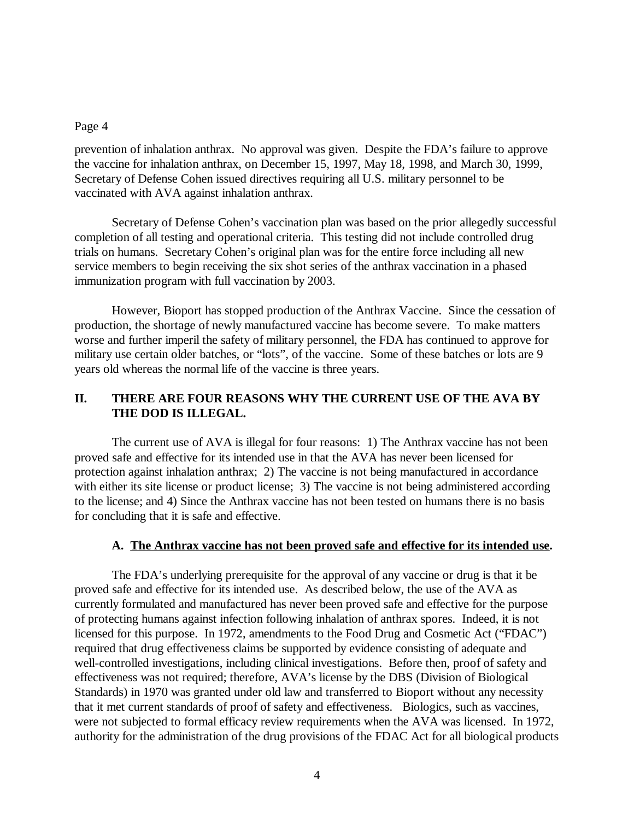prevention of inhalation anthrax. No approval was given. Despite the FDA's failure to approve the vaccine for inhalation anthrax, on December 15, 1997, May 18, 1998, and March 30, 1999, Secretary of Defense Cohen issued directives requiring all U.S. military personnel to be vaccinated with AVA against inhalation anthrax.

Secretary of Defense Cohen's vaccination plan was based on the prior allegedly successful completion of all testing and operational criteria. This testing did not include controlled drug trials on humans. Secretary Cohen's original plan was for the entire force including all new service members to begin receiving the six shot series of the anthrax vaccination in a phased immunization program with full vaccination by 2003.

However, Bioport has stopped production of the Anthrax Vaccine. Since the cessation of production, the shortage of newly manufactured vaccine has become severe. To make matters worse and further imperil the safety of military personnel, the FDA has continued to approve for military use certain older batches, or "lots", of the vaccine. Some of these batches or lots are 9 years old whereas the normal life of the vaccine is three years.

# **II. THERE ARE FOUR REASONS WHY THE CURRENT USE OF THE AVA BY THE DOD IS ILLEGAL.**

The current use of AVA is illegal for four reasons: 1) The Anthrax vaccine has not been proved safe and effective for its intended use in that the AVA has never been licensed for protection against inhalation anthrax; 2) The vaccine is not being manufactured in accordance with either its site license or product license; 3) The vaccine is not being administered according to the license; and 4) Since the Anthrax vaccine has not been tested on humans there is no basis for concluding that it is safe and effective.

### **A. The Anthrax vaccine has not been proved safe and effective for its intended use.**

The FDA's underlying prerequisite for the approval of any vaccine or drug is that it be proved safe and effective for its intended use. As described below, the use of the AVA as currently formulated and manufactured has never been proved safe and effective for the purpose of protecting humans against infection following inhalation of anthrax spores. Indeed, it is not licensed for this purpose. In 1972, amendments to the Food Drug and Cosmetic Act ("FDAC") required that drug effectiveness claims be supported by evidence consisting of adequate and well-controlled investigations, including clinical investigations. Before then, proof of safety and effectiveness was not required; therefore, AVA's license by the DBS (Division of Biological Standards) in 1970 was granted under old law and transferred to Bioport without any necessity that it met current standards of proof of safety and effectiveness. Biologics, such as vaccines, were not subjected to formal efficacy review requirements when the AVA was licensed. In 1972, authority for the administration of the drug provisions of the FDAC Act for all biological products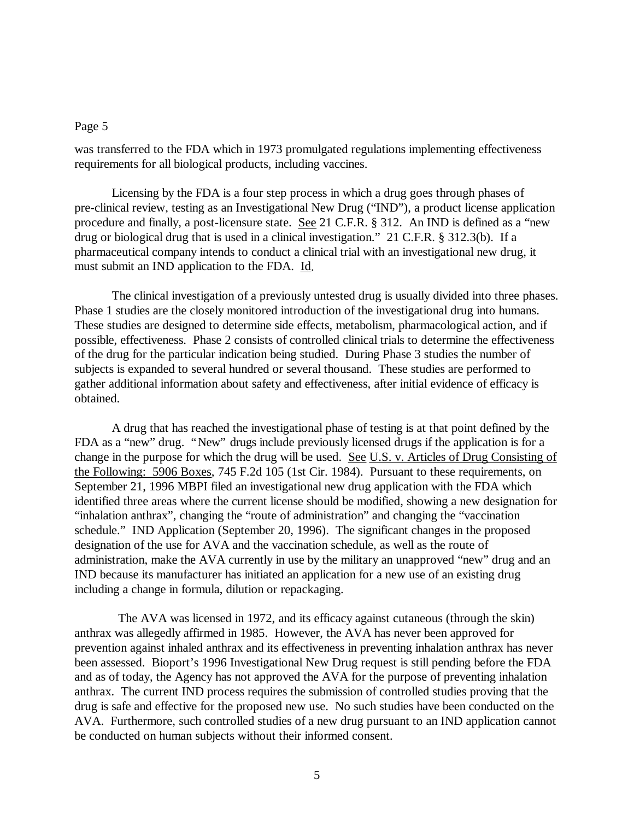was transferred to the FDA which in 1973 promulgated regulations implementing effectiveness requirements for all biological products, including vaccines.

Licensing by the FDA is a four step process in which a drug goes through phases of pre-clinical review, testing as an Investigational New Drug ("IND"), a product license application procedure and finally, a post-licensure state. See 21 C.F.R. § 312. An IND is defined as a "new drug or biological drug that is used in a clinical investigation." 21 C.F.R. § 312.3(b). If a pharmaceutical company intends to conduct a clinical trial with an investigational new drug, it must submit an IND application to the FDA. Id.

The clinical investigation of a previously untested drug is usually divided into three phases. Phase 1 studies are the closely monitored introduction of the investigational drug into humans. These studies are designed to determine side effects, metabolism, pharmacological action, and if possible, effectiveness. Phase 2 consists of controlled clinical trials to determine the effectiveness of the drug for the particular indication being studied. During Phase 3 studies the number of subjects is expanded to several hundred or several thousand. These studies are performed to gather additional information about safety and effectiveness, after initial evidence of efficacy is obtained.

A drug that has reached the investigational phase of testing is at that point defined by the FDA as a "new" drug. "New" drugs include previously licensed drugs if the application is for a change in the purpose for which the drug will be used. See U.S. v. Articles of Drug Consisting of the Following: 5906 Boxes, 745 F.2d 105 (1st Cir. 1984). Pursuant to these requirements, on September 21, 1996 MBPI filed an investigational new drug application with the FDA which identified three areas where the current license should be modified, showing a new designation for "inhalation anthrax", changing the "route of administration" and changing the "vaccination schedule." IND Application (September 20, 1996). The significant changes in the proposed designation of the use for AVA and the vaccination schedule, as well as the route of administration, make the AVA currently in use by the military an unapproved "new" drug and an IND because its manufacturer has initiated an application for a new use of an existing drug including a change in formula, dilution or repackaging.

 The AVA was licensed in 1972, and its efficacy against cutaneous (through the skin) anthrax was allegedly affirmed in 1985. However, the AVA has never been approved for prevention against inhaled anthrax and its effectiveness in preventing inhalation anthrax has never been assessed. Bioport's 1996 Investigational New Drug request is still pending before the FDA and as of today, the Agency has not approved the AVA for the purpose of preventing inhalation anthrax. The current IND process requires the submission of controlled studies proving that the drug is safe and effective for the proposed new use. No such studies have been conducted on the AVA. Furthermore, such controlled studies of a new drug pursuant to an IND application cannot be conducted on human subjects without their informed consent.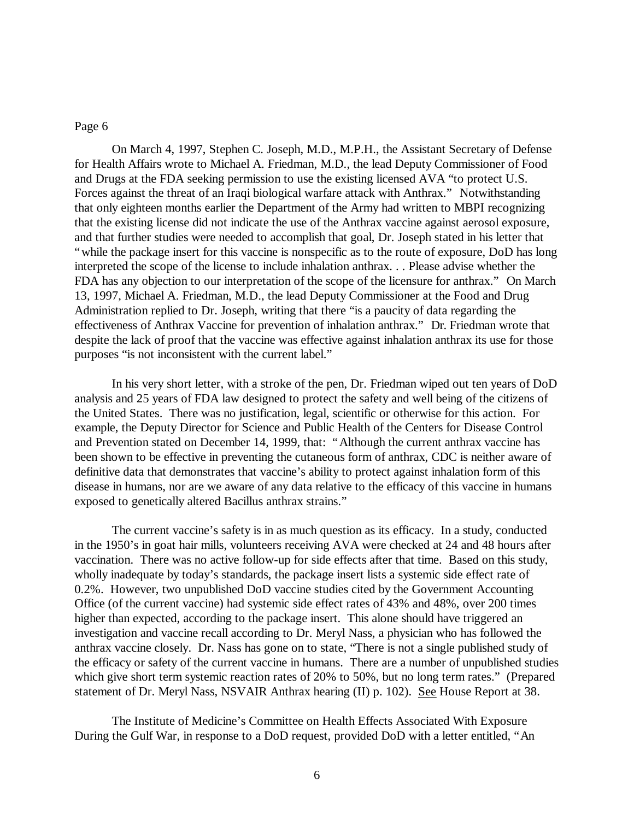On March 4, 1997, Stephen C. Joseph, M.D., M.P.H., the Assistant Secretary of Defense for Health Affairs wrote to Michael A. Friedman, M.D., the lead Deputy Commissioner of Food and Drugs at the FDA seeking permission to use the existing licensed AVA "to protect U.S. Forces against the threat of an Iraqi biological warfare attack with Anthrax." Notwithstanding that only eighteen months earlier the Department of the Army had written to MBPI recognizing that the existing license did not indicate the use of the Anthrax vaccine against aerosol exposure, and that further studies were needed to accomplish that goal, Dr. Joseph stated in his letter that "while the package insert for this vaccine is nonspecific as to the route of exposure, DoD has long interpreted the scope of the license to include inhalation anthrax. . . Please advise whether the FDA has any objection to our interpretation of the scope of the licensure for anthrax." On March 13, 1997, Michael A. Friedman, M.D., the lead Deputy Commissioner at the Food and Drug Administration replied to Dr. Joseph, writing that there "is a paucity of data regarding the effectiveness of Anthrax Vaccine for prevention of inhalation anthrax." Dr. Friedman wrote that despite the lack of proof that the vaccine was effective against inhalation anthrax its use for those purposes "is not inconsistent with the current label."

In his very short letter, with a stroke of the pen, Dr. Friedman wiped out ten years of DoD analysis and 25 years of FDA law designed to protect the safety and well being of the citizens of the United States. There was no justification, legal, scientific or otherwise for this action. For example, the Deputy Director for Science and Public Health of the Centers for Disease Control and Prevention stated on December 14, 1999, that: "Although the current anthrax vaccine has been shown to be effective in preventing the cutaneous form of anthrax, CDC is neither aware of definitive data that demonstrates that vaccine's ability to protect against inhalation form of this disease in humans, nor are we aware of any data relative to the efficacy of this vaccine in humans exposed to genetically altered Bacillus anthrax strains."

The current vaccine's safety is in as much question as its efficacy. In a study, conducted in the 1950's in goat hair mills, volunteers receiving AVA were checked at 24 and 48 hours after vaccination. There was no active follow-up for side effects after that time. Based on this study, wholly inadequate by today's standards, the package insert lists a systemic side effect rate of 0.2%. However, two unpublished DoD vaccine studies cited by the Government Accounting Office (of the current vaccine) had systemic side effect rates of 43% and 48%, over 200 times higher than expected, according to the package insert. This alone should have triggered an investigation and vaccine recall according to Dr. Meryl Nass, a physician who has followed the anthrax vaccine closely. Dr. Nass has gone on to state, "There is not a single published study of the efficacy or safety of the current vaccine in humans. There are a number of unpublished studies which give short term systemic reaction rates of 20% to 50%, but no long term rates." (Prepared statement of Dr. Meryl Nass, NSVAIR Anthrax hearing (II) p. 102). See House Report at 38.

The Institute of Medicine's Committee on Health Effects Associated With Exposure During the Gulf War, in response to a DoD request, provided DoD with a letter entitled, "An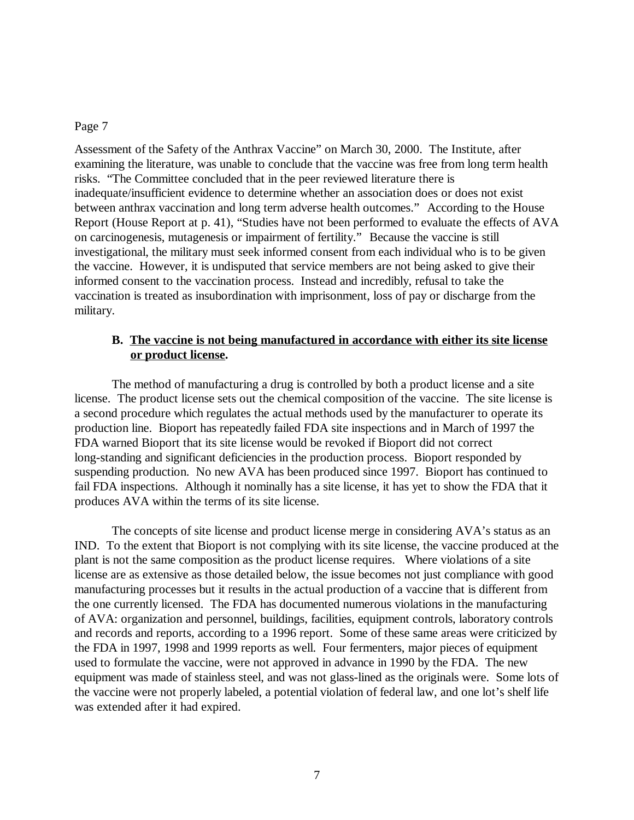Assessment of the Safety of the Anthrax Vaccine" on March 30, 2000. The Institute, after examining the literature, was unable to conclude that the vaccine was free from long term health risks. "The Committee concluded that in the peer reviewed literature there is inadequate/insufficient evidence to determine whether an association does or does not exist between anthrax vaccination and long term adverse health outcomes." According to the House Report (House Report at p. 41), "Studies have not been performed to evaluate the effects of AVA on carcinogenesis, mutagenesis or impairment of fertility." Because the vaccine is still investigational, the military must seek informed consent from each individual who is to be given the vaccine. However, it is undisputed that service members are not being asked to give their informed consent to the vaccination process. Instead and incredibly, refusal to take the vaccination is treated as insubordination with imprisonment, loss of pay or discharge from the military.

## **B. The vaccine is not being manufactured in accordance with either its site license or product license.**

The method of manufacturing a drug is controlled by both a product license and a site license. The product license sets out the chemical composition of the vaccine. The site license is a second procedure which regulates the actual methods used by the manufacturer to operate its production line. Bioport has repeatedly failed FDA site inspections and in March of 1997 the FDA warned Bioport that its site license would be revoked if Bioport did not correct long-standing and significant deficiencies in the production process. Bioport responded by suspending production. No new AVA has been produced since 1997. Bioport has continued to fail FDA inspections. Although it nominally has a site license, it has yet to show the FDA that it produces AVA within the terms of its site license.

The concepts of site license and product license merge in considering AVA's status as an IND. To the extent that Bioport is not complying with its site license, the vaccine produced at the plant is not the same composition as the product license requires. Where violations of a site license are as extensive as those detailed below, the issue becomes not just compliance with good manufacturing processes but it results in the actual production of a vaccine that is different from the one currently licensed. The FDA has documented numerous violations in the manufacturing of AVA: organization and personnel, buildings, facilities, equipment controls, laboratory controls and records and reports, according to a 1996 report. Some of these same areas were criticized by the FDA in 1997, 1998 and 1999 reports as well. Four fermenters, major pieces of equipment used to formulate the vaccine, were not approved in advance in 1990 by the FDA. The new equipment was made of stainless steel, and was not glass-lined as the originals were. Some lots of the vaccine were not properly labeled, a potential violation of federal law, and one lot's shelf life was extended after it had expired.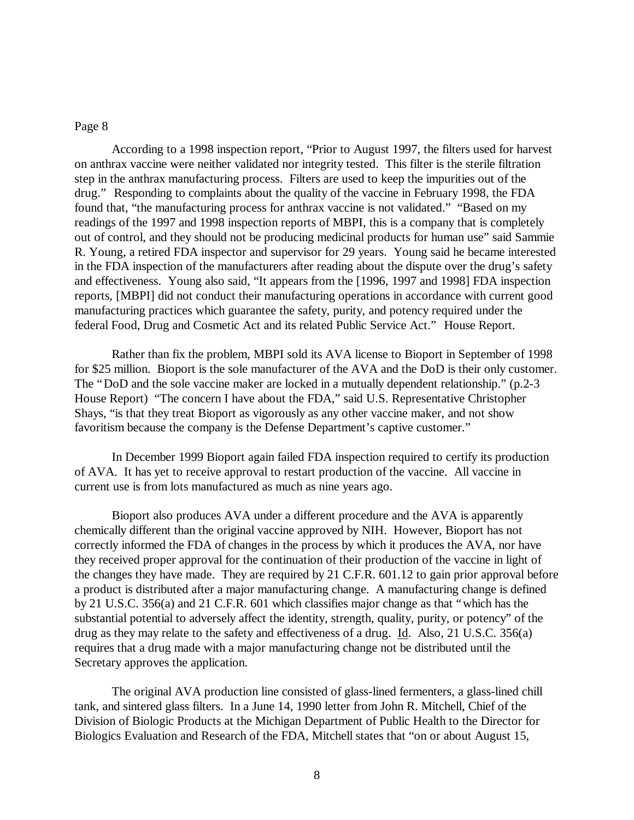According to a 1998 inspection report, "Prior to August 1997, the filters used for harvest on anthrax vaccine were neither validated nor integrity tested. This filter is the sterile filtration step in the anthrax manufacturing process. Filters are used to keep the impurities out of the drug." Responding to complaints about the quality of the vaccine in February 1998, the FDA found that, "the manufacturing process for anthrax vaccine is not validated." "Based on my readings of the 1997 and 1998 inspection reports of MBPI, this is a company that is completely out of control, and they should not be producing medicinal products for human use" said Sammie R. Young, a retired FDA inspector and supervisor for 29 years. Young said he became interested in the FDA inspection of the manufacturers after reading about the dispute over the drug's safety and effectiveness. Young also said, "It appears from the [1996, 1997 and 1998] FDA inspection reports, [MBPI] did not conduct their manufacturing operations in accordance with current good manufacturing practices which guarantee the safety, purity, and potency required under the federal Food, Drug and Cosmetic Act and its related Public Service Act." House Report.

Rather than fix the problem, MBPI sold its AVA license to Bioport in September of 1998 for \$25 million. Bioport is the sole manufacturer of the AVA and the DoD is their only customer. The "DoD and the sole vaccine maker are locked in a mutually dependent relationship." (p.2-3 House Report) "The concern I have about the FDA," said U.S. Representative Christopher Shays, "is that they treat Bioport as vigorously as any other vaccine maker, and not show favoritism because the company is the Defense Department's captive customer."

In December 1999 Bioport again failed FDA inspection required to certify its production of AVA. It has yet to receive approval to restart production of the vaccine. All vaccine in current use is from lots manufactured as much as nine years ago.

Bioport also produces AVA under a different procedure and the AVA is apparently chemically different than the original vaccine approved by NIH. However, Bioport has not correctly informed the FDA of changes in the process by which it produces the AVA, nor have they received proper approval for the continuation of their production of the vaccine in light of the changes they have made. They are required by 21 C.F.R. 601.12 to gain prior approval before a product is distributed after a major manufacturing change. A manufacturing change is defined by 21 U.S.C. 356(a) and 21 C.F.R. 601 which classifies major change as that "which has the substantial potential to adversely affect the identity, strength, quality, purity, or potency" of the drug as they may relate to the safety and effectiveness of a drug. Id. Also, 21 U.S.C. 356(a) requires that a drug made with a major manufacturing change not be distributed until the Secretary approves the application.

The original AVA production line consisted of glass-lined fermenters, a glass-lined chill tank, and sintered glass filters. In a June 14, 1990 letter from John R. Mitchell, Chief of the Division of Biologic Products at the Michigan Department of Public Health to the Director for Biologics Evaluation and Research of the FDA, Mitchell states that "on or about August 15,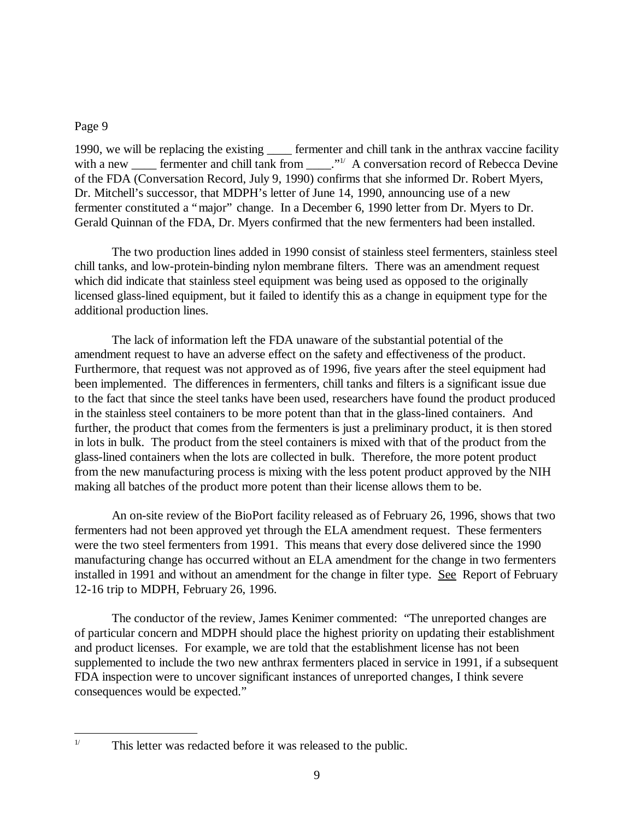1990, we will be replacing the existing fermenter and chill tank in the anthrax vaccine facility with a new \_\_\_\_\_ fermenter and chill tank from \_\_\_\_."<sup>1/</sup> A conversation record of Rebecca Devine of the FDA (Conversation Record, July 9, 1990) confirms that she informed Dr. Robert Myers, Dr. Mitchell's successor, that MDPH's letter of June 14, 1990, announcing use of a new fermenter constituted a "major" change. In a December 6, 1990 letter from Dr. Myers to Dr. Gerald Quinnan of the FDA, Dr. Myers confirmed that the new fermenters had been installed.

The two production lines added in 1990 consist of stainless steel fermenters, stainless steel chill tanks, and low-protein-binding nylon membrane filters. There was an amendment request which did indicate that stainless steel equipment was being used as opposed to the originally licensed glass-lined equipment, but it failed to identify this as a change in equipment type for the additional production lines.

The lack of information left the FDA unaware of the substantial potential of the amendment request to have an adverse effect on the safety and effectiveness of the product. Furthermore, that request was not approved as of 1996, five years after the steel equipment had been implemented. The differences in fermenters, chill tanks and filters is a significant issue due to the fact that since the steel tanks have been used, researchers have found the product produced in the stainless steel containers to be more potent than that in the glass-lined containers. And further, the product that comes from the fermenters is just a preliminary product, it is then stored in lots in bulk. The product from the steel containers is mixed with that of the product from the glass-lined containers when the lots are collected in bulk. Therefore, the more potent product from the new manufacturing process is mixing with the less potent product approved by the NIH making all batches of the product more potent than their license allows them to be.

An on-site review of the BioPort facility released as of February 26, 1996, shows that two fermenters had not been approved yet through the ELA amendment request. These fermenters were the two steel fermenters from 1991. This means that every dose delivered since the 1990 manufacturing change has occurred without an ELA amendment for the change in two fermenters installed in 1991 and without an amendment for the change in filter type. See Report of February 12-16 trip to MDPH, February 26, 1996.

The conductor of the review, James Kenimer commented: "The unreported changes are of particular concern and MDPH should place the highest priority on updating their establishment and product licenses. For example, we are told that the establishment license has not been supplemented to include the two new anthrax fermenters placed in service in 1991, if a subsequent FDA inspection were to uncover significant instances of unreported changes, I think severe consequences would be expected."

<sup>&</sup>lt;sup>1/</sup> This letter was redacted before it was released to the public.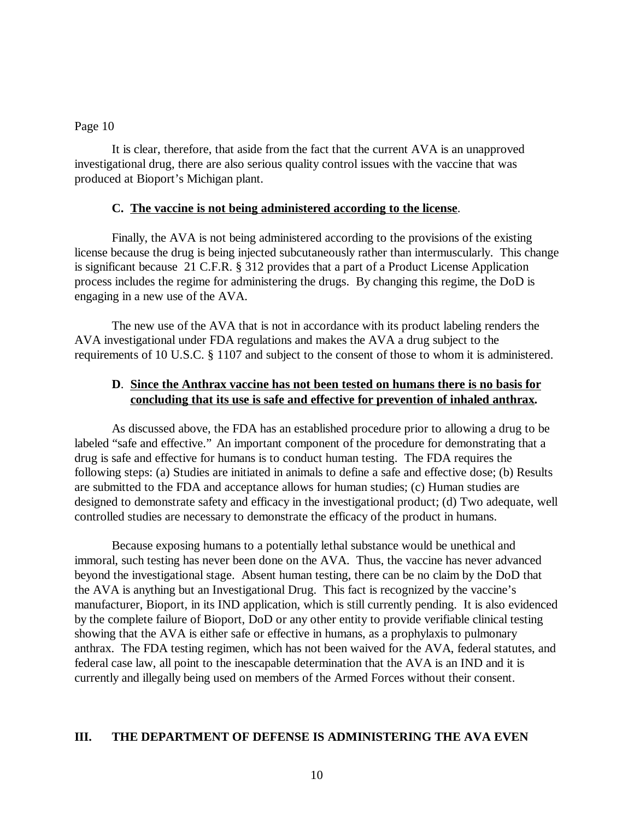It is clear, therefore, that aside from the fact that the current AVA is an unapproved investigational drug, there are also serious quality control issues with the vaccine that was produced at Bioport's Michigan plant.

### **C. The vaccine is not being administered according to the license**.

Finally, the AVA is not being administered according to the provisions of the existing license because the drug is being injected subcutaneously rather than intermuscularly. This change is significant because 21 C.F.R. § 312 provides that a part of a Product License Application process includes the regime for administering the drugs. By changing this regime, the DoD is engaging in a new use of the AVA.

The new use of the AVA that is not in accordance with its product labeling renders the AVA investigational under FDA regulations and makes the AVA a drug subject to the requirements of 10 U.S.C. § 1107 and subject to the consent of those to whom it is administered.

# **D**. **Since the Anthrax vaccine has not been tested on humans there is no basis for concluding that its use is safe and effective for prevention of inhaled anthrax.**

As discussed above, the FDA has an established procedure prior to allowing a drug to be labeled "safe and effective." An important component of the procedure for demonstrating that a drug is safe and effective for humans is to conduct human testing. The FDA requires the following steps: (a) Studies are initiated in animals to define a safe and effective dose; (b) Results are submitted to the FDA and acceptance allows for human studies; (c) Human studies are designed to demonstrate safety and efficacy in the investigational product; (d) Two adequate, well controlled studies are necessary to demonstrate the efficacy of the product in humans.

Because exposing humans to a potentially lethal substance would be unethical and immoral, such testing has never been done on the AVA. Thus, the vaccine has never advanced beyond the investigational stage. Absent human testing, there can be no claim by the DoD that the AVA is anything but an Investigational Drug. This fact is recognized by the vaccine's manufacturer, Bioport, in its IND application, which is still currently pending. It is also evidenced by the complete failure of Bioport, DoD or any other entity to provide verifiable clinical testing showing that the AVA is either safe or effective in humans, as a prophylaxis to pulmonary anthrax. The FDA testing regimen, which has not been waived for the AVA, federal statutes, and federal case law, all point to the inescapable determination that the AVA is an IND and it is currently and illegally being used on members of the Armed Forces without their consent.

## **III. THE DEPARTMENT OF DEFENSE IS ADMINISTERING THE AVA EVEN**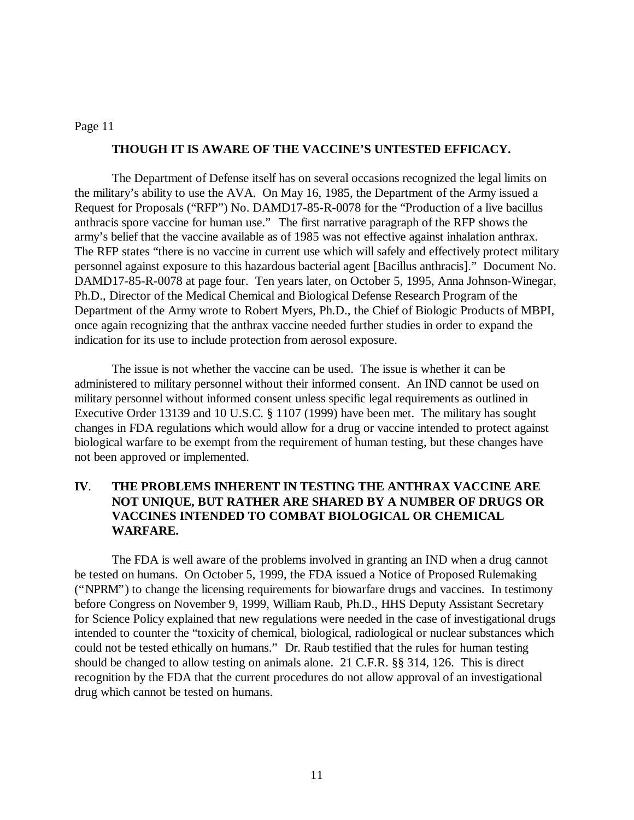## **THOUGH IT IS AWARE OF THE VACCINE'S UNTESTED EFFICACY.**

The Department of Defense itself has on several occasions recognized the legal limits on the military's ability to use the AVA. On May 16, 1985, the Department of the Army issued a Request for Proposals ("RFP") No. DAMD17-85-R-0078 for the "Production of a live bacillus anthracis spore vaccine for human use." The first narrative paragraph of the RFP shows the army's belief that the vaccine available as of 1985 was not effective against inhalation anthrax. The RFP states "there is no vaccine in current use which will safely and effectively protect military personnel against exposure to this hazardous bacterial agent [Bacillus anthracis]." Document No. DAMD17-85-R-0078 at page four. Ten years later, on October 5, 1995, Anna Johnson-Winegar, Ph.D., Director of the Medical Chemical and Biological Defense Research Program of the Department of the Army wrote to Robert Myers, Ph.D., the Chief of Biologic Products of MBPI, once again recognizing that the anthrax vaccine needed further studies in order to expand the indication for its use to include protection from aerosol exposure.

The issue is not whether the vaccine can be used. The issue is whether it can be administered to military personnel without their informed consent. An IND cannot be used on military personnel without informed consent unless specific legal requirements as outlined in Executive Order 13139 and 10 U.S.C. § 1107 (1999) have been met. The military has sought changes in FDA regulations which would allow for a drug or vaccine intended to protect against biological warfare to be exempt from the requirement of human testing, but these changes have not been approved or implemented.

## **IV**. **THE PROBLEMS INHERENT IN TESTING THE ANTHRAX VACCINE ARE NOT UNIQUE, BUT RATHER ARE SHARED BY A NUMBER OF DRUGS OR VACCINES INTENDED TO COMBAT BIOLOGICAL OR CHEMICAL WARFARE.**

The FDA is well aware of the problems involved in granting an IND when a drug cannot be tested on humans. On October 5, 1999, the FDA issued a Notice of Proposed Rulemaking ("NPRM") to change the licensing requirements for biowarfare drugs and vaccines. In testimony before Congress on November 9, 1999, William Raub, Ph.D., HHS Deputy Assistant Secretary for Science Policy explained that new regulations were needed in the case of investigational drugs intended to counter the "toxicity of chemical, biological, radiological or nuclear substances which could not be tested ethically on humans." Dr. Raub testified that the rules for human testing should be changed to allow testing on animals alone. 21 C.F.R. §§ 314, 126. This is direct recognition by the FDA that the current procedures do not allow approval of an investigational drug which cannot be tested on humans.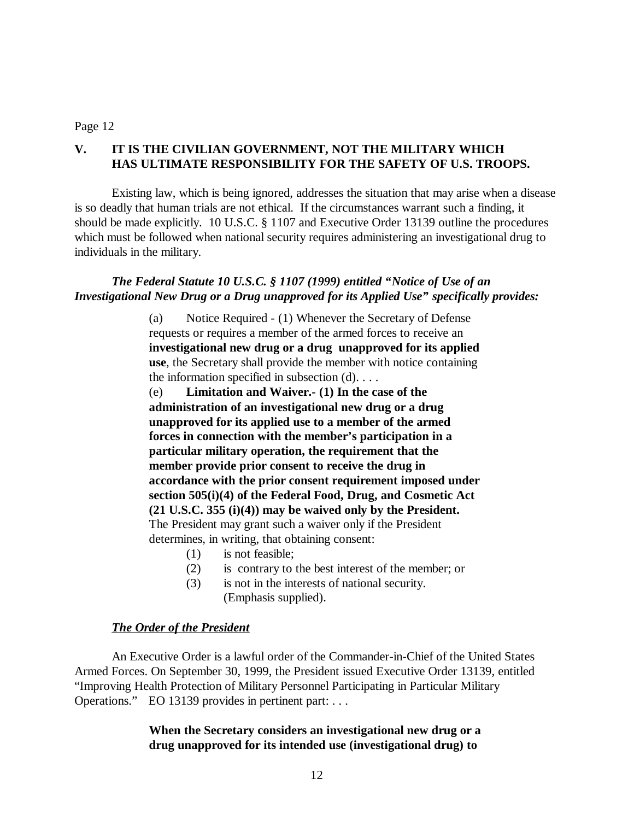# **V. IT IS THE CIVILIAN GOVERNMENT, NOT THE MILITARY WHICH HAS ULTIMATE RESPONSIBILITY FOR THE SAFETY OF U.S. TROOPS.**

Existing law, which is being ignored, addresses the situation that may arise when a disease is so deadly that human trials are not ethical. If the circumstances warrant such a finding, it should be made explicitly. 10 U.S.C. § 1107 and Executive Order 13139 outline the procedures which must be followed when national security requires administering an investigational drug to individuals in the military.

## *The Federal Statute 10 U.S.C. § 1107 (1999) entitled "Notice of Use of an Investigational New Drug or a Drug unapproved for its Applied Use" specifically provides:*

(a) Notice Required - (1) Whenever the Secretary of Defense requests or requires a member of the armed forces to receive an **investigational new drug or a drug unapproved for its applied use**, the Secretary shall provide the member with notice containing the information specified in subsection  $(d)$ ...

(e) **Limitation and Waiver.- (1) In the case of the administration of an investigational new drug or a drug unapproved for its applied use to a member of the armed forces in connection with the member's participation in a particular military operation, the requirement that the member provide prior consent to receive the drug in accordance with the prior consent requirement imposed under section 505(i)(4) of the Federal Food, Drug, and Cosmetic Act (21 U.S.C. 355 (i)(4)) may be waived only by the President.** The President may grant such a waiver only if the President determines, in writing, that obtaining consent:

- (1) is not feasible;
- (2) is contrary to the best interest of the member; or
- (3) is not in the interests of national security. (Emphasis supplied).

## *The Order of the President*

An Executive Order is a lawful order of the Commander-in-Chief of the United States Armed Forces. On September 30, 1999, the President issued Executive Order 13139, entitled "Improving Health Protection of Military Personnel Participating in Particular Military Operations." EO 13139 provides in pertinent part: . . .

## **When the Secretary considers an investigational new drug or a drug unapproved for its intended use (investigational drug) to**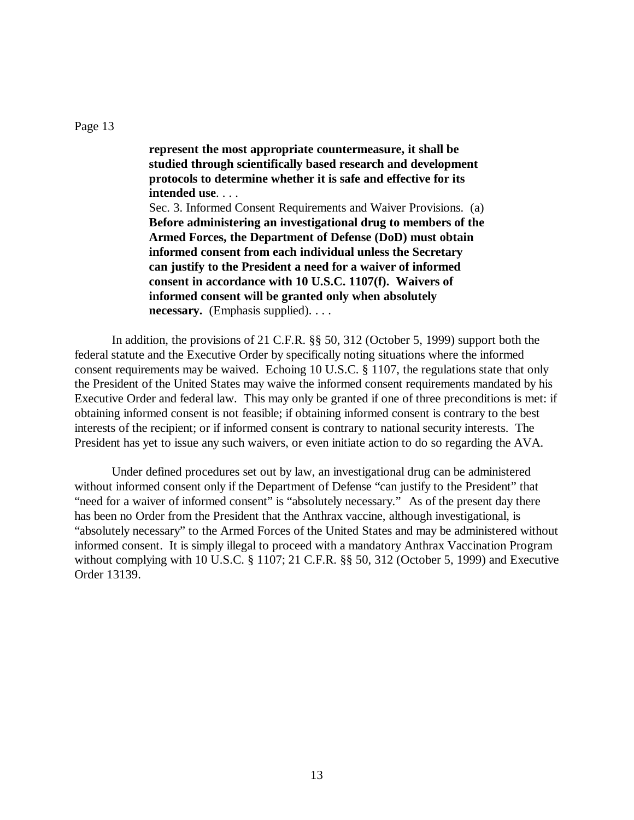**represent the most appropriate countermeasure, it shall be studied through scientifically based research and development protocols to determine whether it is safe and effective for its intended use**. . . . Sec. 3. Informed Consent Requirements and Waiver Provisions. (a) **Before administering an investigational drug to members of the Armed Forces, the Department of Defense (DoD) must obtain informed consent from each individual unless the Secretary can justify to the President a need for a waiver of informed**

**consent in accordance with 10 U.S.C. 1107(f). Waivers of informed consent will be granted only when absolutely necessary.** (Emphasis supplied). . . .

In addition, the provisions of 21 C.F.R. §§ 50, 312 (October 5, 1999) support both the federal statute and the Executive Order by specifically noting situations where the informed consent requirements may be waived. Echoing 10 U.S.C. § 1107, the regulations state that only the President of the United States may waive the informed consent requirements mandated by his Executive Order and federal law. This may only be granted if one of three preconditions is met: if obtaining informed consent is not feasible; if obtaining informed consent is contrary to the best interests of the recipient; or if informed consent is contrary to national security interests. The President has yet to issue any such waivers, or even initiate action to do so regarding the AVA.

Under defined procedures set out by law, an investigational drug can be administered without informed consent only if the Department of Defense "can justify to the President" that "need for a waiver of informed consent" is "absolutely necessary." As of the present day there has been no Order from the President that the Anthrax vaccine, although investigational, is "absolutely necessary" to the Armed Forces of the United States and may be administered without informed consent. It is simply illegal to proceed with a mandatory Anthrax Vaccination Program without complying with 10 U.S.C. § 1107; 21 C.F.R. §§ 50, 312 (October 5, 1999) and Executive Order 13139.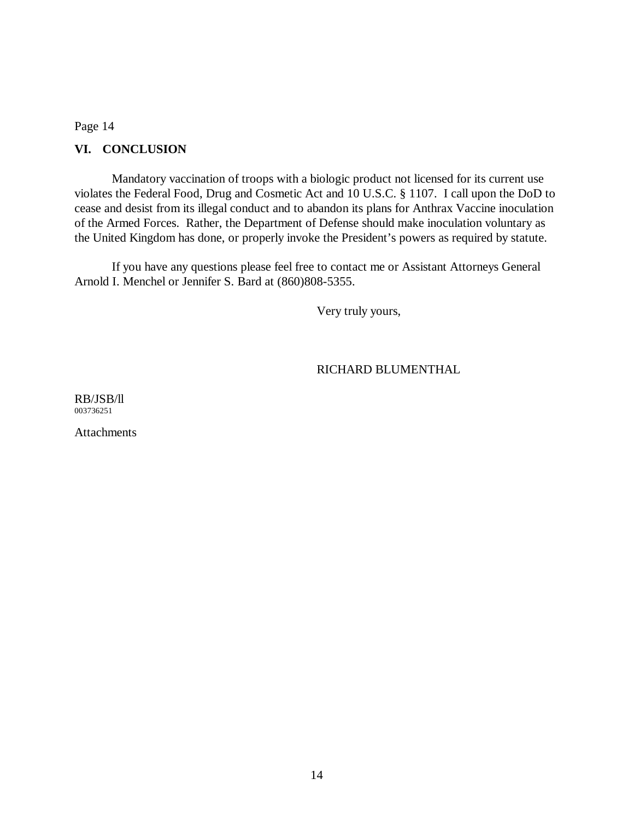## **VI. CONCLUSION**

Mandatory vaccination of troops with a biologic product not licensed for its current use violates the Federal Food, Drug and Cosmetic Act and 10 U.S.C. § 1107. I call upon the DoD to cease and desist from its illegal conduct and to abandon its plans for Anthrax Vaccine inoculation of the Armed Forces. Rather, the Department of Defense should make inoculation voluntary as the United Kingdom has done, or properly invoke the President's powers as required by statute.

If you have any questions please feel free to contact me or Assistant Attorneys General Arnold I. Menchel or Jennifer S. Bard at (860)808-5355.

Very truly yours,

### RICHARD BLUMENTHAL

RB/JSB/ll 003736251

**Attachments**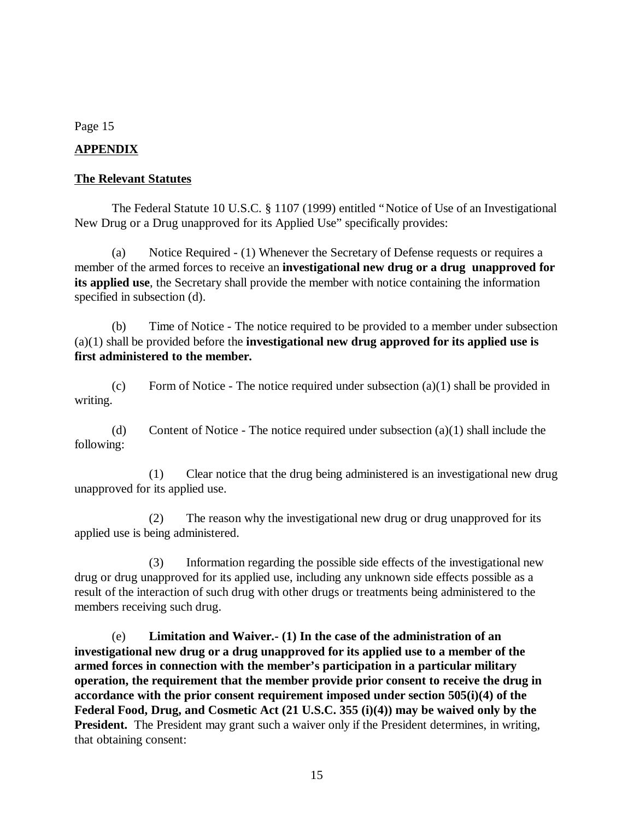## **APPENDIX**

## **The Relevant Statutes**

The Federal Statute 10 U.S.C. § 1107 (1999) entitled "Notice of Use of an Investigational New Drug or a Drug unapproved for its Applied Use" specifically provides:

(a) Notice Required - (1) Whenever the Secretary of Defense requests or requires a member of the armed forces to receive an **investigational new drug or a drug unapproved for its applied use**, the Secretary shall provide the member with notice containing the information specified in subsection (d).

(b) Time of Notice - The notice required to be provided to a member under subsection (a)(1) shall be provided before the **investigational new drug approved for its applied use is first administered to the member.** 

(c) Form of Notice - The notice required under subsection  $(a)(1)$  shall be provided in writing.

(d) Content of Notice - The notice required under subsection  $(a)(1)$  shall include the following:

(1) Clear notice that the drug being administered is an investigational new drug unapproved for its applied use.

(2) The reason why the investigational new drug or drug unapproved for its applied use is being administered.

(3) Information regarding the possible side effects of the investigational new drug or drug unapproved for its applied use, including any unknown side effects possible as a result of the interaction of such drug with other drugs or treatments being administered to the members receiving such drug.

(e) **Limitation and Waiver.- (1) In the case of the administration of an investigational new drug or a drug unapproved for its applied use to a member of the armed forces in connection with the member's participation in a particular military operation, the requirement that the member provide prior consent to receive the drug in accordance with the prior consent requirement imposed under section 505(i)(4) of the Federal Food, Drug, and Cosmetic Act (21 U.S.C. 355 (i)(4)) may be waived only by the President.** The President may grant such a waiver only if the President determines, in writing, that obtaining consent: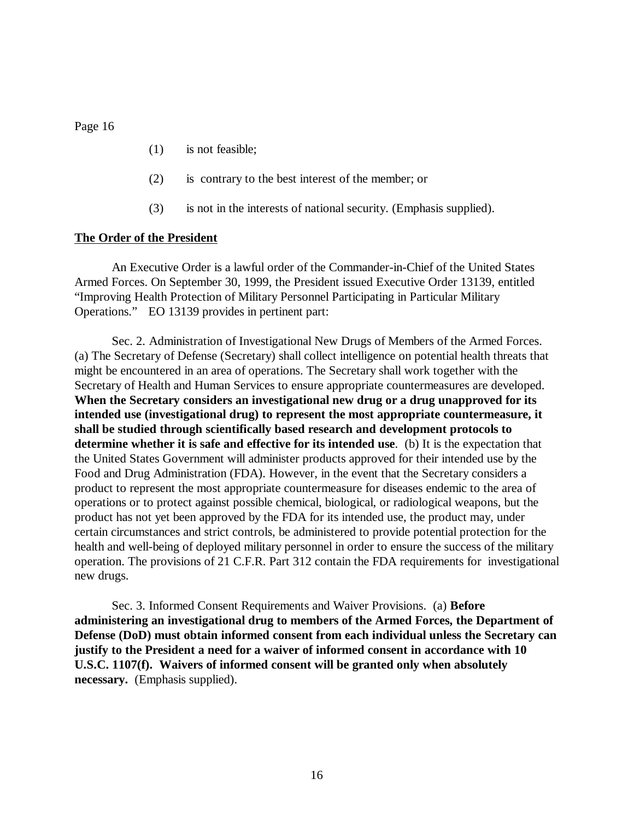- (1) is not feasible;
- (2) is contrary to the best interest of the member; or
- (3) is not in the interests of national security. (Emphasis supplied).

### **The Order of the President**

An Executive Order is a lawful order of the Commander-in-Chief of the United States Armed Forces. On September 30, 1999, the President issued Executive Order 13139, entitled "Improving Health Protection of Military Personnel Participating in Particular Military Operations." EO 13139 provides in pertinent part:

Sec. 2. Administration of Investigational New Drugs of Members of the Armed Forces. (a) The Secretary of Defense (Secretary) shall collect intelligence on potential health threats that might be encountered in an area of operations. The Secretary shall work together with the Secretary of Health and Human Services to ensure appropriate countermeasures are developed. **When the Secretary considers an investigational new drug or a drug unapproved for its intended use (investigational drug) to represent the most appropriate countermeasure, it shall be studied through scientifically based research and development protocols to determine whether it is safe and effective for its intended use**. (b) It is the expectation that the United States Government will administer products approved for their intended use by the Food and Drug Administration (FDA). However, in the event that the Secretary considers a product to represent the most appropriate countermeasure for diseases endemic to the area of operations or to protect against possible chemical, biological, or radiological weapons, but the product has not yet been approved by the FDA for its intended use, the product may, under certain circumstances and strict controls, be administered to provide potential protection for the health and well-being of deployed military personnel in order to ensure the success of the military operation. The provisions of 21 C.F.R. Part 312 contain the FDA requirements for investigational new drugs.

Sec. 3. Informed Consent Requirements and Waiver Provisions. (a) **Before administering an investigational drug to members of the Armed Forces, the Department of Defense (DoD) must obtain informed consent from each individual unless the Secretary can justify to the President a need for a waiver of informed consent in accordance with 10 U.S.C. 1107(f). Waivers of informed consent will be granted only when absolutely necessary.** (Emphasis supplied).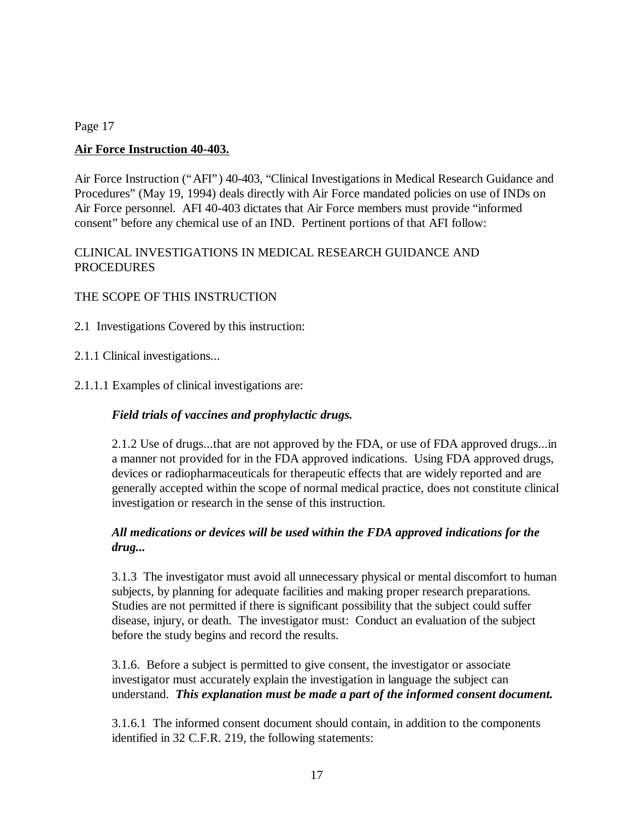# **Air Force Instruction 40-403.**

Air Force Instruction ("AFI") 40-403, "Clinical Investigations in Medical Research Guidance and Procedures" (May 19, 1994) deals directly with Air Force mandated policies on use of INDs on Air Force personnel. AFI 40-403 dictates that Air Force members must provide "informed consent" before any chemical use of an IND. Pertinent portions of that AFI follow:

# CLINICAL INVESTIGATIONS IN MEDICAL RESEARCH GUIDANCE AND PROCEDURES

# THE SCOPE OF THIS INSTRUCTION

2.1 Investigations Covered by this instruction:

- 2.1.1 Clinical investigations...
- 2.1.1.1 Examples of clinical investigations are:

# *Field trials of vaccines and prophylactic drugs.*

2.1.2 Use of drugs...that are not approved by the FDA, or use of FDA approved drugs...in a manner not provided for in the FDA approved indications. Using FDA approved drugs, devices or radiopharmaceuticals for therapeutic effects that are widely reported and are generally accepted within the scope of normal medical practice, does not constitute clinical investigation or research in the sense of this instruction.

# *All medications or devices will be used within the FDA approved indications for the drug...*

3.1.3 The investigator must avoid all unnecessary physical or mental discomfort to human subjects, by planning for adequate facilities and making proper research preparations. Studies are not permitted if there is significant possibility that the subject could suffer disease, injury, or death. The investigator must: Conduct an evaluation of the subject before the study begins and record the results.

3.1.6. Before a subject is permitted to give consent, the investigator or associate investigator must accurately explain the investigation in language the subject can understand. *This explanation must be made a part of the informed consent document.* 

3.1.6.1 The informed consent document should contain, in addition to the components identified in 32 C.F.R. 219, the following statements: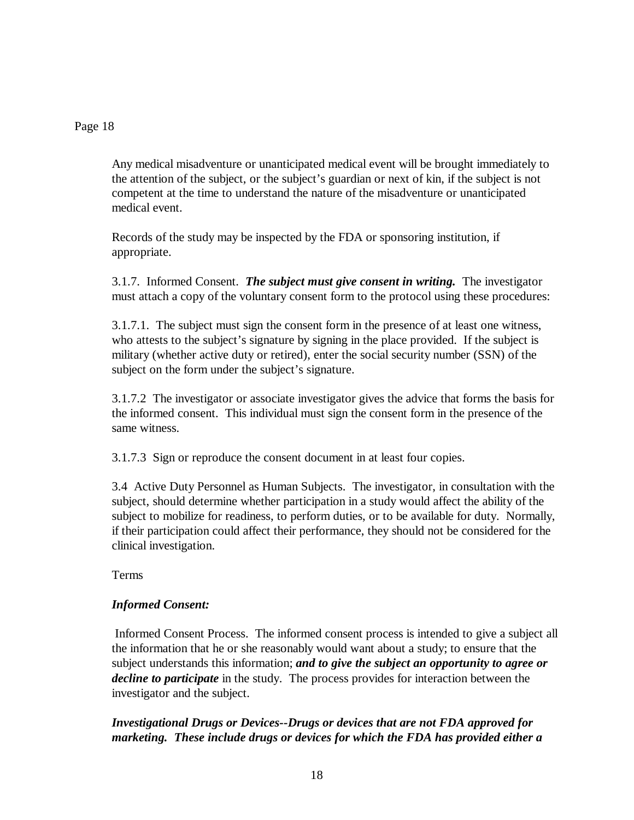Any medical misadventure or unanticipated medical event will be brought immediately to the attention of the subject, or the subject's guardian or next of kin, if the subject is not competent at the time to understand the nature of the misadventure or unanticipated medical event.

Records of the study may be inspected by the FDA or sponsoring institution, if appropriate.

3.1.7. Informed Consent. *The subject must give consent in writing.* The investigator must attach a copy of the voluntary consent form to the protocol using these procedures:

3.1.7.1. The subject must sign the consent form in the presence of at least one witness, who attests to the subject's signature by signing in the place provided. If the subject is military (whether active duty or retired), enter the social security number (SSN) of the subject on the form under the subject's signature.

3.1.7.2 The investigator or associate investigator gives the advice that forms the basis for the informed consent. This individual must sign the consent form in the presence of the same witness.

3.1.7.3 Sign or reproduce the consent document in at least four copies.

3.4 Active Duty Personnel as Human Subjects. The investigator, in consultation with the subject, should determine whether participation in a study would affect the ability of the subject to mobilize for readiness, to perform duties, or to be available for duty. Normally, if their participation could affect their performance, they should not be considered for the clinical investigation.

Terms

# *Informed Consent:*

 Informed Consent Process. The informed consent process is intended to give a subject all the information that he or she reasonably would want about a study; to ensure that the subject understands this information; *and to give the subject an opportunity to agree or decline to participate* in the study. The process provides for interaction between the investigator and the subject.

*Investigational Drugs or Devices--Drugs or devices that are not FDA approved for marketing. These include drugs or devices for which the FDA has provided either a*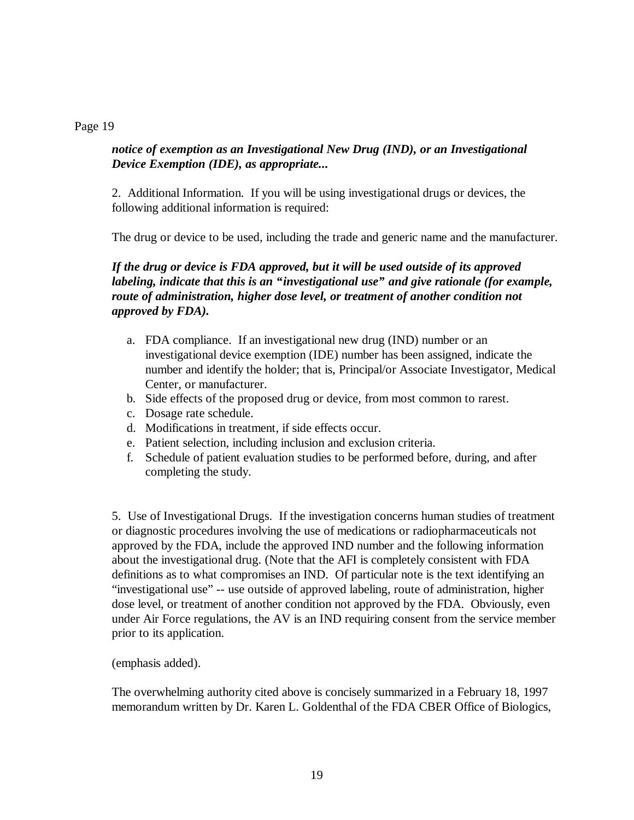# *notice of exemption as an Investigational New Drug (IND), or an Investigational Device Exemption (IDE), as appropriate...*

2. Additional Information. If you will be using investigational drugs or devices, the following additional information is required:

The drug or device to be used, including the trade and generic name and the manufacturer.

# *If the drug or device is FDA approved, but it will be used outside of its approved labeling, indicate that this is an "investigational use" and give rationale (for example, route of administration, higher dose level, or treatment of another condition not approved by FDA).*

- a. FDA compliance. If an investigational new drug (IND) number or an investigational device exemption (IDE) number has been assigned, indicate the number and identify the holder; that is, Principal/or Associate Investigator, Medical Center, or manufacturer.
- b. Side effects of the proposed drug or device, from most common to rarest.
- c. Dosage rate schedule.
- d. Modifications in treatment, if side effects occur.
- e. Patient selection, including inclusion and exclusion criteria.
- f. Schedule of patient evaluation studies to be performed before, during, and after completing the study.

5. Use of Investigational Drugs. If the investigation concerns human studies of treatment or diagnostic procedures involving the use of medications or radiopharmaceuticals not approved by the FDA, include the approved IND number and the following information about the investigational drug. (Note that the AFI is completely consistent with FDA definitions as to what compromises an IND. Of particular note is the text identifying an "investigational use" -- use outside of approved labeling, route of administration, higher dose level, or treatment of another condition not approved by the FDA. Obviously, even under Air Force regulations, the AV is an IND requiring consent from the service member prior to its application.

(emphasis added).

The overwhelming authority cited above is concisely summarized in a February 18, 1997 memorandum written by Dr. Karen L. Goldenthal of the FDA CBER Office of Biologics,